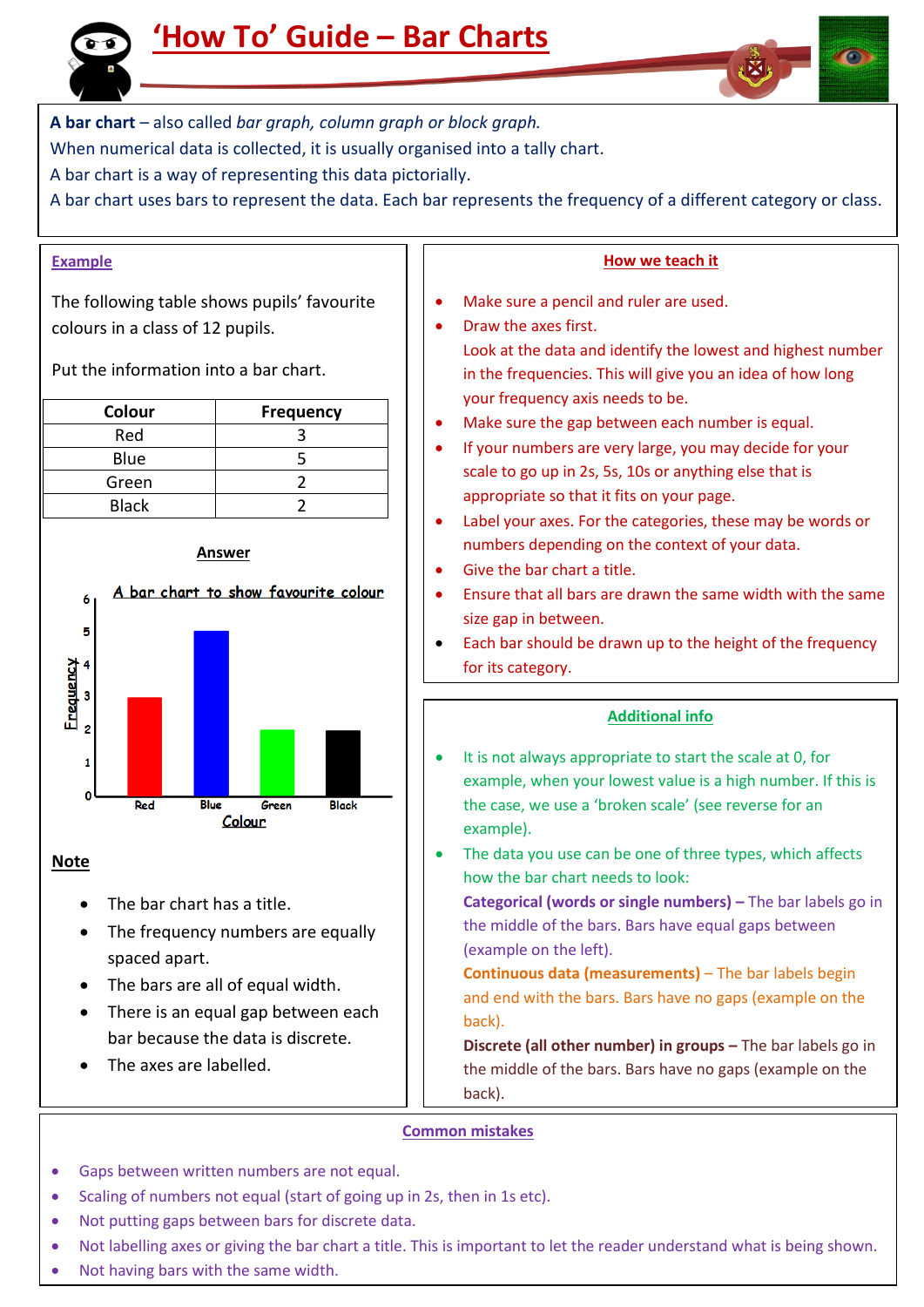

**A bar chart** – also called *bar graph, column graph or block graph.*

When numerical data is collected, it is usually organised into a tally chart.

A bar chart is a way of representing this data pictorially.

A bar chart uses bars to represent the data. Each bar represents the frequency of a different category or class.

# **Example**

The following table shows pupils' favourite colours in a class of 12 pupils.

Put the information into a bar chart.

| Colour       | <b>Frequency</b> |
|--------------|------------------|
| Red          |                  |
| Blue         |                  |
| Green        |                  |
| <b>Black</b> |                  |



**Note**

- The bar chart has a title.
- The frequency numbers are equally spaced apart.
- The bars are all of equal width.
- There is an equal gap between each bar because the data is discrete.
- The axes are labelled.

### **How we teach it**

- Make sure a pencil and ruler are used.
- Draw the axes first.

Look at the data and identify the lowest and highest number in the frequencies. This will give you an idea of how long your frequency axis needs to be.

- Make sure the gap between each number is equal.
- If your numbers are very large, you may decide for your scale to go up in 2s, 5s, 10s or anything else that is appropriate so that it fits on your page.
- Label your axes. For the categories, these may be words or numbers depending on the context of your data.
- Give the bar chart a title.
- Ensure that all bars are drawn the same width with the same size gap in between.
- Each bar should be drawn up to the height of the frequency for its category.

# **Additional info**

- It is not always appropriate to start the scale at 0, for example, when your lowest value is a high number. If this is the case, we use a 'broken scale' (see reverse for an example).
- The data you use can be one of three types, which affects how the bar chart needs to look:

**Categorical (words or single numbers) –** The bar labels go in the middle of the bars. Bars have equal gaps between (example on the left).

**Continuous data (measurements)** – The bar labels begin and end with the bars. Bars have no gaps (example on the back).

**Discrete (all other number) in groups –** The bar labels go in the middle of the bars. Bars have no gaps (example on the back).

# **Common mistakes**

- Gaps between written numbers are not equal.
- Scaling of numbers not equal (start of going up in 2s, then in 1s etc).
- Not putting gaps between bars for discrete data.
- Not labelling axes or giving the bar chart a title. This is important to let the reader understand what is being shown.
- Not having bars with the same width.